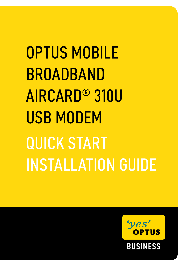OPTUS MOBILE BROADBAND AIRCARD® 310U **USB MODEM** QUICK START INSTALLATION GUIDE

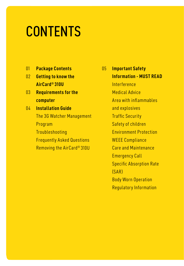# **CONTENTS**

- 01 **Package Contents**
- 02 **Getting to know the AirCard® 310U**
- 03 **Requirements for the computer**
- 04 **Installation Guide** The 3G Watcher Management Program **Troubleshooting**  Frequently Asked Questions Removing the AirCard® 310U

05 **Important Safety Information - MUST READ** Interference Medical Advice Area with inflammables and explosives Traffic Security Safety of children Environment Protection WEEE Compliance Care and Maintenance Emergency Call Specific Absorption Rate (SAR) Body Worn Operation Regulatory Information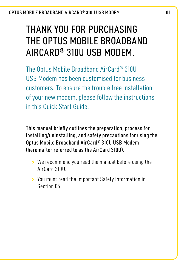# Thank you for purchasing THE OPTUS MORILE BROADBAND AIRCARD® 310U USB Modem.

The Optus Mobile Broadband AirCard® 310U USB Modem has been customised for business customers. To ensure the trouble free installation of your new modem, please follow the instructions in this Quick Start Guide.

This manual briefly outlines the preparation, process for installing/uninstalling, and safety precautions for using the Optus Mobile Broadband AirCard® 310U USB Modem (hereinafter referred to as the AirCard 310U).

- **>** We recommend you read the manual before using the AirCard 310U.
- **>**  You must read the Important Safety Information in Section 05.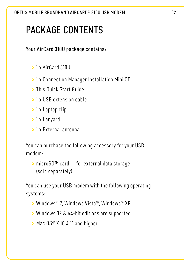# PACKAGE CONTENTS

Your AirCard 310U package contains:

- **>** 1 x AirCard 310U
- **>** 1 x Connection Manager Installation Mini CD
- **>** This Quick Start Guide
- **>** 1 x USB extension cable
- **>** 1 x Laptop clip
- **>** 1 x Lanyard
- **>** 1 x External antenna

You can purchase the following accessory for your USB modem:

**>** microSD™ card — for external data storage (sold separately)

You can use your USB modem with the following operating systems:

- **>** Windows® 7, Windows Vista®, Windows® XP
- **>** Windows 32 & 64‑bit editions are supported
- **>** Mac OS® X 10.4.11 and higher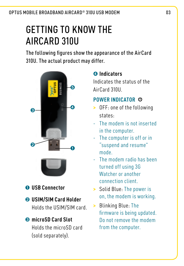# Getting to Know the AIRCARD 310U

The following figures show the appearance of the AirCard 310U. The actual product may differ.



➊ **USB Connector**

# ➋ **USIM/SIM Card Holder**

 Holds the USIM/SIM card.

#### ➌ **microSD Card Slot**

Holds the microSD card (sold separately).

#### ➍ **Indicators**

Indicates the status of the AirCard 310U.

#### **POWER INDICATOR**

- **>** OFF: one of the following states:
- The modem is not inserted in the computer.
- The computer is off or in "suspend and resume" mode.
- The modem radio has been turned off using 3G Watcher or another connection client.
- **>** Solid Blue: The power is on, the modem is working.
- **>** Blinking Blue: The firmware is being updated. Do not remove the modem from the computer.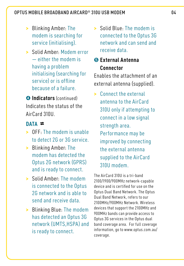- **>** Blinking Amber: The modem is searching for service (initialising).
- **>** Solid Amber: Modem error — either the modem is having a problem initialising (searching for service) or is offline because of a failure.

➍ **Indicators** (continued) Indicates the status of the AirCard 310U.

#### **DATA**

- **>** OFF: The modem is unable to detect 2G or 3G service.
- **>** Blinking Amber: The modem has detected the Optus 2G network (GPRS) and is ready to connect.
- **>** Solid Amber: The modem is connected to the Optus 2G network and is able to send and receive data.
- **>** Blinking Blue: The modem has detected an Optus 3G network (UMTS,HSPA) and is ready to connect.

**>** Solid Blue: The modem is connected to the Optus 3G network and can send and receive data.

#### ➎ **External Antenna Connector**

Enables the attachment of an external antenna (supplied).

**>** Connect the external antenna to the AirCard 310U only if attempting to connect in a low signal strength area. Performance may be improved by connecting the external antenna supplied to the AirCard 310U modem.

The AirCard 310U is a tri-band 2100/1900/900MHz network-capable device and is certified for use on the Optus Dual Band Network. The Optus Dual Band Network, refers to our 2100MHz/900MHz Network. Wireless devices that support the 2100MHz and 900MHz bands can provide access to Optus 3G services in the Optus dual band coverage area. For full coverage information, go to www.optus.com.au/ coverage.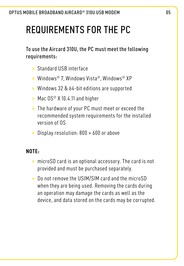# REQUIREMENTS FOR THE PC

To use the Aircard 310U, the PC must meet the following requirements:

- **>** Standard USB interface
- **>** Windows® 7, Windows Vista®, Windows® XP
- **>** Windows 32 & 64‑bit editions are supported
- **>** Mac OS® X 10.4.11 and higher
- **>** The hardware of your PC must meet or exceed the recommended system requirements for the installed version of OS
- **>** Display resolution: 800 × 600 or above

#### **NOTE:**

- **>** microSD card is an optional accessory. The card is not provided and must be purchased separately.
- **>** Do not remove the USIM/SIM card and the microSD when they are being used. Removing the cards during an operation may damage the cards as well as the device, and data stored on the cards may be corrupted.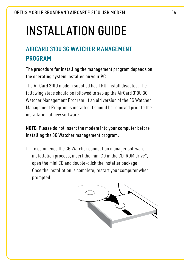# Installation Guide

# **AirCard 310U 3G Watcher Management Program**

The procedure for installing the management program depends on the operating system installed on your PC.

The AirCard 310U modem supplied has TRU-Install disabled. The following steps should be followed to set-up the AirCard 310U 3G Watcher Management Program. If an old version of the 3G Watcher Management Program is installed it should be removed prior to the installation of new software.

#### **NOTE:** Please do not insert the modem into your computer before installing the 3G Watcher management program.

1. To commence the 3G Watcher connection manager software installation process, insert the mini CD in the CD-ROM drive\*, open the mini CD and double-click the installer package. Once the installation is complete, restart your computer when prompted.

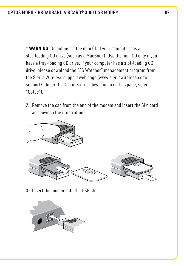\* **WARNING**: Do not insert the mini CD if your computer has a slot-loading CD drive (such as a MacBook). Use the mini CD only if you have a tray-loading CD drive. If your computer has a slot-loading CD drive, please download the "3G Watcher" management program from the Sierra Wireless support web page (www.sierrawireless.com/ support/. Under the Carriers drop-down menu on this page, select "Optus").

2. Remove the cap from the end of the modem and insert the SIM card as shown in the illustration.



3. Insert the modem into the USB slot.

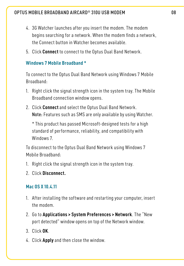- 4. 3G Watcher launches after you insert the modem. The modem begins searching for a network. When the modem finds a network, the Connect button in Watcher becomes available.
- 5. Click **Connect** to connect to the Optus Dual Band Network.

#### **Windows 7 Mobile Broadband \***

To connect to the Optus Dual Band Network using Windows 7 Mobile Broadband:

- 1. Right click the signal strength icon in the system tray. The Mobile Broadband connection window opens.
- 2. Click **Connect** and select the Optus Dual Band Network. Note: Features such as SMS are only available by using Watcher.

 \* This product has passed Microsoft-designed tests for a high standard of performance, reliability, and compatibility with Windows 7.

To disconnect to the Optus Dual Band Network using Windows 7 Mobile Broadband:

- 1. Right click the signal strength icon in the system tray.
- 2. Click **Disconnect.**

#### **Mac OS X 10.4.11**

- 1. After installing the software and restarting your computer, insert the modem.
- 2. Go to **Applications > System Preferences > Network**. The "New port detected" window opens on top of the Network window.
- 3. Click **OK**.
- 4. Click **Apply** and then close the window.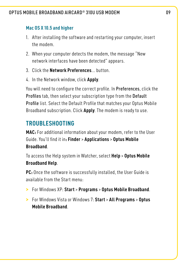#### **Mac OS X 10.5 and higher**

- 1. After installing the software and restarting your computer, insert the modem.
- 2. When your computer detects the modem, the message "New network interfaces have been detected" appears.
- 3. Click the **Network Preferences**... button.
- 4. In the Network window, click **Apply**.

You will need to configure the correct profile. In Preferences, click the Profiles tab, then select your subscription type from the Default Profile list. Select the Default Profile that matches your Optus Mobile Broadband subscription. Click **Apply**. The modem is ready to use.

## **TROUBLESHOOTING**

**MAC:** For additional information about your modem, refer to the User Guide. You'll find it in**: Finder** > **Applications** > **Optus Mobile Broadband**.

To access the Help system in Watcher, select **Help** > **Optus Mobile Broadband Help**.

**PC:** Once the software is successfully installed, the User Guide is available from the Start menu:

- **>** For Windows XP: **Start** > **Programs** > **Optus Mobile Broadband**.
- **>** For Windows Vista or Windows 7: **Start** > **All Programs** > **Optus Mobile Broadband**.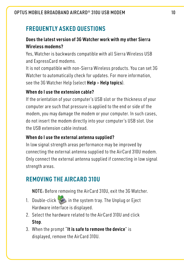## **Frequently asked questions**

#### **Does the latest version of 3G Watcher work with my other Sierra Wireless modems?**

Yes, Watcher is backwards compatible with all Sierra Wireless USB and ExpressCard modems.

It is not compatible with non-Sierra Wireless products. You can set 3G Watcher to automatically check for updates. For more information, see the 3G Watcher Help (select **Help** > **Help topics**).

#### **When do I use the extension cable?**

If the orientation of your computer's USB slot or the thickness of your computer are such that pressure is applied to the end or side of the modem, you may damage the modem or your computer. In such cases, do not insert the modem directly into your computer's USB slot. Use the USB extension cable instead.

#### **When do I use the external antenna supplied?**

In low signal strength areas performance may be improved by connecting the external antenna supplied to the AirCard 310U modem. Only connect the external antenna supplied if connecting in low signal strength areas.

## **Removing the AIRCARD 310U**

NOTE: Before removing the AirCard 310U, exit the 3G Watcher.

- 1. Double-click in the system tray. The Unplug or Eject Hardware interface is displayed.
- 2. Select the hardware related to the AirCard 310U and click **Stop**.
- 3. When the prompt "**It is safe to remove the device**" is displayed, remove the AirCard 310U.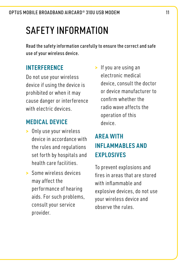# Safety Information

Read the safety information carefully to ensure the correct and safe use of your wireless device.

## **Interference**

Do not use your wireless device if using the device is prohibited or when it may cause danger or interference with electric devices.

## **Medical Device**

- **>** Only use your wireless device in accordance with the rules and regulations set forth by hospitals and health care facilities.
- **>** Some wireless devices may affect the performance of hearing aids. For such problems, consult your service provider.

**>** If you are using an electronic medical device, consult the doctor or device manufacturer to confirm whether the radio wave affects the operation of this device.

# **Area with Inflammables and Explosives**

To prevent explosions and fires in areas that are stored with inflammable and explosive devices, do not use your wireless device and observe the rules.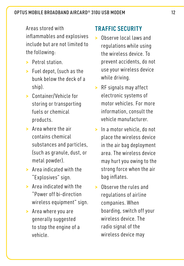Areas stored with

inflammables and explosives include but are not limited to the following:

- **>** Petrol station.
- **>** Fuel depot, (such as the bunk below the deck of a ship).
- **>** Container/Vehicle for storing or transporting fuels or chemical products.
- **>** Area where the air contains chemical substances and particles, (such as granule, dust, or metal powder).
- **>** Area indicated with the "Explosives" sign.
- **>** Area indicated with the "Power off bi-direction wireless equipment" sign.
- **>** Area where you are generally suggested to stop the engine of a vehicle.

## **traffic security**

- **>** Observe local laws and regulations while using the wireless device. To prevent accidents, do not use your wireless device while driving.
- **>** RF signals may affect electronic systems of motor vehicles. For more information, consult the vehicle manufacturer.
- **>** In a motor vehicle, do not place the wireless device in the air bag deployment area. The wireless device may hurt you owing to the strong force when the air bag inflates.
- **>** Observe the rules and regulations of airline companies. When boarding, switch off your wireless device. The radio signal of the wireless device may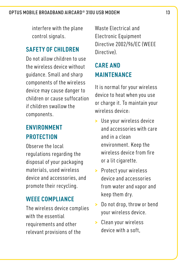interfere with the plane control signals.

#### **Safety of Children**

Do not allow children to use the wireless device without guidance. Small and sharp components of the wireless device may cause danger to children or cause suffocation if children swallow the components.

## **environment protection**

Observe the local regulations regarding the disposal of your packaging materials, used wireless device and accessories, and promote their recycling.

#### **weee compliance**

The wireless device complies with the essential requirements and other relevant provisions of the

Waste Electrical and Electronic Equipment Directive 2002/96/EC (WEEE Directive).

# **Care and Maintenance**

It is normal for your wireless device to heat when you use or charge it. To maintain your wireless device:

- **>** Use your wireless device and accessories with care and in a clean environment. Keep the wireless device from fire or a lit cigarette.
- **>** Protect your wireless device and accessories from water and vapor and keep them dry.
- **>** Do not drop, throw or bend your wireless device.
- **>** Clean your wireless device with a soft,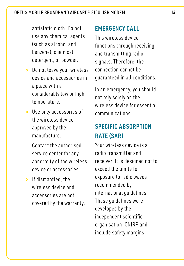antistatic cloth. Do not use any chemical agents (such as alcohol and benzene), chemical detergent, or powder.

- **>** Do not leave your wireless device and accessories in a place with a considerably low or high temperature.
- **>** Use only accessories of the wireless device approved by the manufacture.

 Contact the authorised service center for any abnormity of the wireless device or accessories.

**>** If dismantled, the wireless device and accessories are not covered by the warranty.

## **Emergency Call**

This wireless device functions through receiving and transmitting radio signals. Therefore, the connection cannot be guaranteed in all conditions.

In an emergency, you should not rely solely on the wireless device for essential communications.

# **Specific Absorption Rate (SAR)**

Your wireless device is a radio transmitter and receiver. It is designed not to exceed the limits for exposure to radio waves recommended by international guidelines. These guidelines were developed by the independent scientific organisation ICNIRP and include safety margins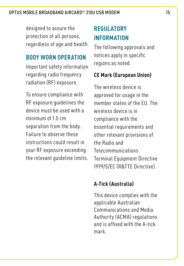designed to assure the protection of all persons, regardless of age and health.

#### **Body Worn Operation**

Important safety information regarding radio frequency radiation (RF) exposure.

To ensure compliance with RF exposure guidelines the device must be used with a minimum of 1.5 cm separation from the body. Failure to observe these instructions could result in your RF exposure exceeding the relevant quideline limits.

## **Regulatory Information**

The following approvals and notices apply in specific regions as noted.

#### **CE Mark (European Union)**

The wireless device is approved for usage in the member states of the EU. The wireless device is in compliance with the essential requirements and other relevant provisions of the Radio and Telecommunications Terminal Equipment Directive 1999/5/EC (R&TTE Directive).

## **A-Tick (Australia)**

This device complies with the applicable Australian Communications and Media Authority (ACMA) regulations and is affixed with the A-tick mark.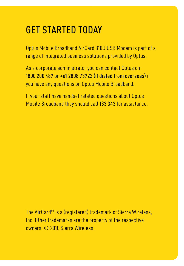# Get started today

Optus Mobile Broadband AirCard 310U USB Modem is part of a range of integrated business solutions provided by Optus.

As a corporate administrator you can contact Optus on 1800 200 487 or  $+61$  2808 73722 (if dialed from overseas) if you have any questions on Optus Mobile Broadband.

If your staff have handset related questions about Optus Mobile Broadband they should call 133 343 for assistance.

The AirCard® is a (registered) trademark of Sierra Wireless, Inc. Other trademarks are the property of the respective owners. © 2010 Sierra Wireless.